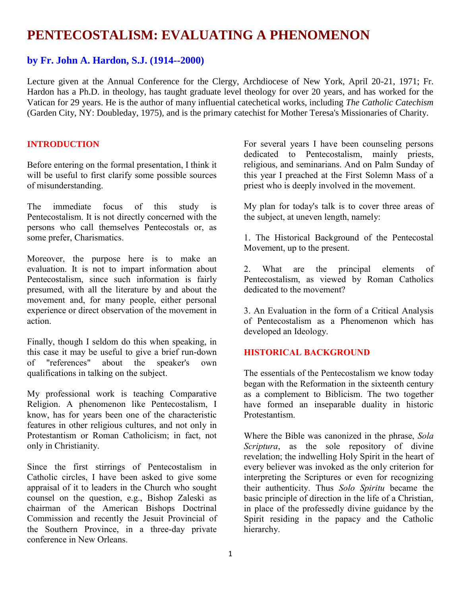# **PENTECOSTALISM: EVALUATING A PHENOMENON**

# **by Fr. John A. Hardon, S.J. (1914--2000)**

Lecture given at the Annual Conference for the Clergy, Archdiocese of New York, April 20-21, 1971; Fr. Hardon has a Ph.D. in theology, has taught graduate level theology for over 20 years, and has worked for the Vatican for 29 years. He is the author of many influential catechetical works, including *The Catholic Catechism* (Garden City, NY: Doubleday, 1975), and is the primary catechist for Mother Teresa's Missionaries of Charity.

## **INTRODUCTION**

Before entering on the formal presentation, I think it will be useful to first clarify some possible sources of misunderstanding.

The immediate focus of this study is Pentecostalism. It is not directly concerned with the persons who call themselves Pentecostals or, as some prefer, Charismatics.

Moreover, the purpose here is to make an evaluation. It is not to impart information about Pentecostalism, since such information is fairly presumed, with all the literature by and about the movement and, for many people, either personal experience or direct observation of the movement in action.

Finally, though I seldom do this when speaking, in this case it may be useful to give a brief run-down of "references" about the speaker's own qualifications in talking on the subject.

My professional work is teaching Comparative Religion. A phenomenon like Pentecostalism, I know, has for years been one of the characteristic features in other religious cultures, and not only in Protestantism or Roman Catholicism; in fact, not only in Christianity.

Since the first stirrings of Pentecostalism in Catholic circles, I have been asked to give some appraisal of it to leaders in the Church who sought counsel on the question, e.g., Bishop Zaleski as chairman of the American Bishops Doctrinal Commission and recently the Jesuit Provincial of the Southern Province, in a three-day private conference in New Orleans.

For several years I have been counseling persons dedicated to Pentecostalism, mainly priests, religious, and seminarians. And on Palm Sunday of this year I preached at the First Solemn Mass of a priest who is deeply involved in the movement.

My plan for today's talk is to cover three areas of the subject, at uneven length, namely:

1. The Historical Background of the Pentecostal Movement, up to the present.

2. What are the principal elements of Pentecostalism, as viewed by Roman Catholics dedicated to the movement?

3. An Evaluation in the form of a Critical Analysis of Pentecostalism as a Phenomenon which has developed an Ideology.

## **HISTORICAL BACKGROUND**

The essentials of the Pentecostalism we know today began with the Reformation in the sixteenth century as a complement to Biblicism. The two together have formed an inseparable duality in historic Protestantism.

Where the Bible was canonized in the phrase, *Sola Scriptura*, as the sole repository of divine revelation; the indwelling Holy Spirit in the heart of every believer was invoked as the only criterion for interpreting the Scriptures or even for recognizing their authenticity. Thus *Solo Spiritu* became the basic principle of direction in the life of a Christian, in place of the professedly divine guidance by the Spirit residing in the papacy and the Catholic hierarchy.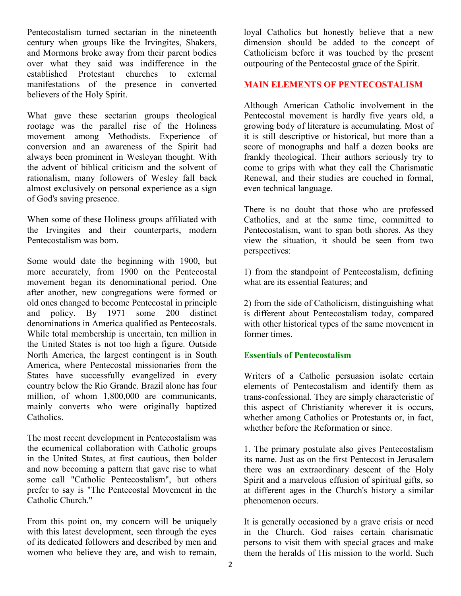Pentecostalism turned sectarian in the nineteenth century when groups like the Irvingites, Shakers, and Mormons broke away from their parent bodies over what they said was indifference in the established Protestant churches to external manifestations of the presence in converted believers of the Holy Spirit.

What gave these sectarian groups theological rootage was the parallel rise of the Holiness movement among Methodists. Experience of conversion and an awareness of the Spirit had always been prominent in Wesleyan thought. With the advent of biblical criticism and the solvent of rationalism, many followers of Wesley fall back almost exclusively on personal experience as a sign of God's saving presence.

When some of these Holiness groups affiliated with the Irvingites and their counterparts, modern Pentecostalism was born.

Some would date the beginning with 1900, but more accurately, from 1900 on the Pentecostal movement began its denominational period. One after another, new congregations were formed or old ones changed to become Pentecostal in principle and policy. By 1971 some 200 distinct denominations in America qualified as Pentecostals. While total membership is uncertain, ten million in the United States is not too high a figure. Outside North America, the largest contingent is in South America, where Pentecostal missionaries from the States have successfully evangelized in every country below the Rio Grande. Brazil alone has four million, of whom 1,800,000 are communicants, mainly converts who were originally baptized Catholics.

The most recent development in Pentecostalism was the ecumenical collaboration with Catholic groups in the United States, at first cautious, then bolder and now becoming a pattern that gave rise to what some call "Catholic Pentecostalism", but others prefer to say is "The Pentecostal Movement in the Catholic Church."

From this point on, my concern will be uniquely with this latest development, seen through the eyes of its dedicated followers and described by men and women who believe they are, and wish to remain,

loyal Catholics but honestly believe that a new dimension should be added to the concept of Catholicism before it was touched by the present outpouring of the Pentecostal grace of the Spirit.

### **MAIN ELEMENTS OF PENTECOSTALISM**

Although American Catholic involvement in the Pentecostal movement is hardly five years old, a growing body of literature is accumulating. Most of it is still descriptive or historical, but more than a score of monographs and half a dozen books are frankly theological. Their authors seriously try to come to grips with what they call the Charismatic Renewal, and their studies are couched in formal, even technical language.

There is no doubt that those who are professed Catholics, and at the same time, committed to Pentecostalism, want to span both shores. As they view the situation, it should be seen from two perspectives:

1) from the standpoint of Pentecostalism, defining what are its essential features; and

2) from the side of Catholicism, distinguishing what is different about Pentecostalism today, compared with other historical types of the same movement in former times.

#### **Essentials of Pentecostalism**

Writers of a Catholic persuasion isolate certain elements of Pentecostalism and identify them as trans-confessional. They are simply characteristic of this aspect of Christianity wherever it is occurs, whether among Catholics or Protestants or, in fact, whether before the Reformation or since.

1. The primary postulate also gives Pentecostalism its name. Just as on the first Pentecost in Jerusalem there was an extraordinary descent of the Holy Spirit and a marvelous effusion of spiritual gifts, so at different ages in the Church's history a similar phenomenon occurs.

It is generally occasioned by a grave crisis or need in the Church. God raises certain charismatic persons to visit them with special graces and make them the heralds of His mission to the world. Such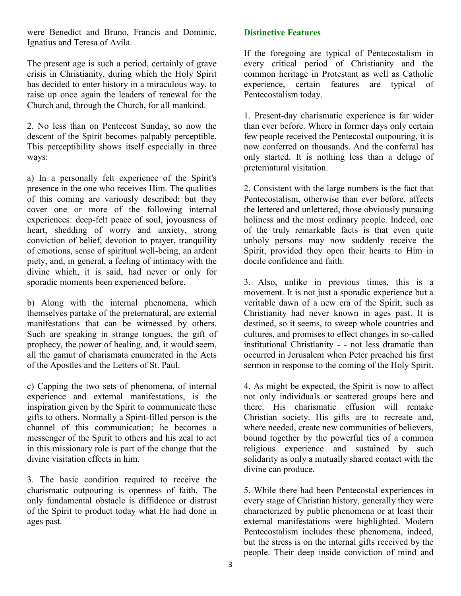were Benedict and Bruno, Francis and Dominic, Ignatius and Teresa of Avila.

The present age is such a period, certainly of grave crisis in Christianity, during which the Holy Spirit has decided to enter history in a miraculous way, to raise up once again the leaders of renewal for the Church and, through the Church, for all mankind.

2. No less than on Pentecost Sunday, so now the descent of the Spirit becomes palpably perceptible. This perceptibility shows itself especially in three ways:

a) In a personally felt experience of the Spirit's presence in the one who receives Him. The qualities of this coming are variously described; but they cover one or more of the following internal experiences: deep-felt peace of soul, joyousness of heart, shedding of worry and anxiety, strong conviction of belief, devotion to prayer, tranquility of emotions, sense of spiritual well-being, an ardent piety, and, in general, a feeling of intimacy with the divine which, it is said, had never or only for sporadic moments been experienced before.

b) Along with the internal phenomena, which themselves partake of the preternatural, are external manifestations that can be witnessed by others. Such are speaking in strange tongues, the gift of prophecy, the power of healing, and, it would seem, all the gamut of charismata enumerated in the Acts of the Apostles and the Letters of St. Paul.

c) Capping the two sets of phenomena, of internal experience and external manifestations, is the inspiration given by the Spirit to communicate these gifts to others. Normally a Spirit-filled person is the channel of this communication; he becomes a messenger of the Spirit to others and his zeal to act in this missionary role is part of the change that the divine visitation effects in him.

3. The basic condition required to receive the charismatic outpouring is openness of faith. The only fundamental obstacle is diffidence or distrust of the Spirit to product today what He had done in ages past.

# **Distinctive Features**

If the foregoing are typical of Pentecostalism in every critical period of Christianity and the common heritage in Protestant as well as Catholic experience, certain features are typical of Pentecostalism today.

1. Present-day charismatic experience is far wider than ever before. Where in former days only certain few people received the Pentecostal outpouring, it is now conferred on thousands. And the conferral has only started. It is nothing less than a deluge of preternatural visitation.

2. Consistent with the large numbers is the fact that Pentecostalism, otherwise than ever before, affects the lettered and unlettered, those obviously pursuing holiness and the most ordinary people. Indeed, one of the truly remarkable facts is that even quite unholy persons may now suddenly receive the Spirit, provided they open their hearts to Him in docile confidence and faith.

3. Also, unlike in previous times, this is a movement. It is not just a sporadic experience but a veritable dawn of a new era of the Spirit; such as Christianity had never known in ages past. It is destined, so it seems, to sweep whole countries and cultures, and promises to effect changes in so-called institutional Christianity - - not less dramatic than occurred in Jerusalem when Peter preached his first sermon in response to the coming of the Holy Spirit.

4. As might be expected, the Spirit is now to affect not only individuals or scattered groups here and there. His charismatic effusion will remake Christian society. His gifts are to recreate and, where needed, create new communities of believers, bound together by the powerful ties of a common religious experience and sustained by such solidarity as only a mutually shared contact with the divine can produce.

5. While there had been Pentecostal experiences in every stage of Christian history, generally they were characterized by public phenomena or at least their external manifestations were highlighted. Modern Pentecostalism includes these phenomena, indeed, but the stress is on the internal gifts received by the people. Their deep inside conviction of mind and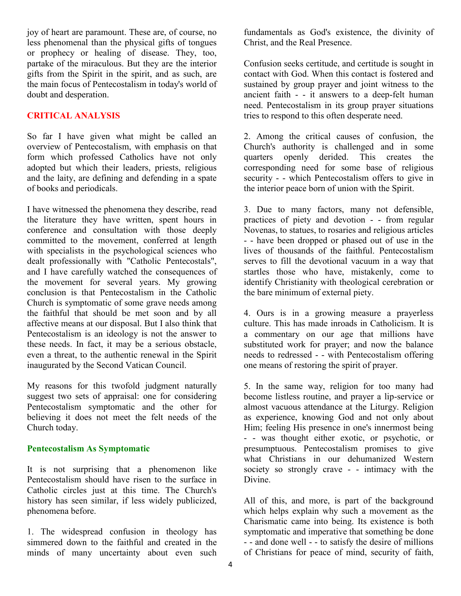joy of heart are paramount. These are, of course, no less phenomenal than the physical gifts of tongues or prophecy or healing of disease. They, too, partake of the miraculous. But they are the interior gifts from the Spirit in the spirit, and as such, are the main focus of Pentecostalism in today's world of doubt and desperation.

## **CRITICAL ANALYSIS**

So far I have given what might be called an overview of Pentecostalism, with emphasis on that form which professed Catholics have not only adopted but which their leaders, priests, religious and the laity, are defining and defending in a spate of books and periodicals.

I have witnessed the phenomena they describe, read the literature they have written, spent hours in conference and consultation with those deeply committed to the movement, conferred at length with specialists in the psychological sciences who dealt professionally with "Catholic Pentecostals", and I have carefully watched the consequences of the movement for several years. My growing conclusion is that Pentecostalism in the Catholic Church is symptomatic of some grave needs among the faithful that should be met soon and by all affective means at our disposal. But I also think that Pentecostalism is an ideology is not the answer to these needs. In fact, it may be a serious obstacle, even a threat, to the authentic renewal in the Spirit inaugurated by the Second Vatican Council.

My reasons for this twofold judgment naturally suggest two sets of appraisal: one for considering Pentecostalism symptomatic and the other for believing it does not meet the felt needs of the Church today.

## **Pentecostalism As Symptomatic**

It is not surprising that a phenomenon like Pentecostalism should have risen to the surface in Catholic circles just at this time. The Church's history has seen similar, if less widely publicized, phenomena before.

1. The widespread confusion in theology has simmered down to the faithful and created in the minds of many uncertainty about even such

fundamentals as God's existence, the divinity of Christ, and the Real Presence.

Confusion seeks certitude, and certitude is sought in contact with God. When this contact is fostered and sustained by group prayer and joint witness to the ancient faith - - it answers to a deep-felt human need. Pentecostalism in its group prayer situations tries to respond to this often desperate need.

2. Among the critical causes of confusion, the Church's authority is challenged and in some quarters openly derided. This creates the corresponding need for some base of religious security - - which Pentecostalism offers to give in the interior peace born of union with the Spirit.

3. Due to many factors, many not defensible, practices of piety and devotion - - from regular Novenas, to statues, to rosaries and religious articles - - have been dropped or phased out of use in the lives of thousands of the faithful. Pentecostalism serves to fill the devotional vacuum in a way that startles those who have, mistakenly, come to identify Christianity with theological cerebration or the bare minimum of external piety.

4. Ours is in a growing measure a prayerless culture. This has made inroads in Catholicism. It is a commentary on our age that millions have substituted work for prayer; and now the balance needs to redressed - - with Pentecostalism offering one means of restoring the spirit of prayer.

5. In the same way, religion for too many had become listless routine, and prayer a lip-service or almost vacuous attendance at the Liturgy. Religion as experience, knowing God and not only about Him; feeling His presence in one's innermost being - - was thought either exotic, or psychotic, or presumptuous. Pentecostalism promises to give what Christians in our dehumanized Western society so strongly crave - - intimacy with the Divine.

All of this, and more, is part of the background which helps explain why such a movement as the Charismatic came into being. Its existence is both symptomatic and imperative that something be done - - and done well - - to satisfy the desire of millions of Christians for peace of mind, security of faith,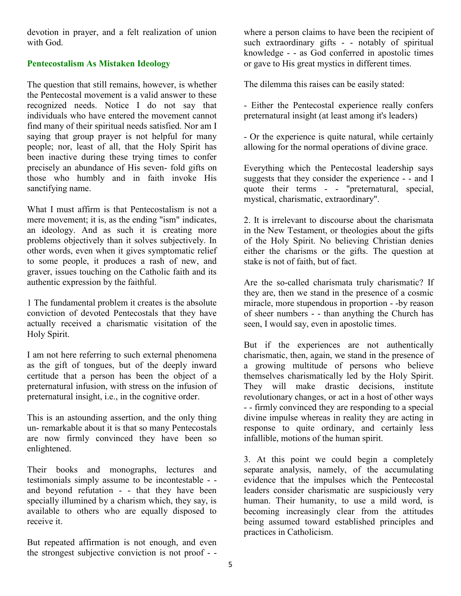devotion in prayer, and a felt realization of union with God.

## **Pentecostalism As Mistaken Ideology**

The question that still remains, however, is whether the Pentecostal movement is a valid answer to these recognized needs. Notice I do not say that individuals who have entered the movement cannot find many of their spiritual needs satisfied. Nor am I saying that group prayer is not helpful for many people; nor, least of all, that the Holy Spirit has been inactive during these trying times to confer precisely an abundance of His seven- fold gifts on those who humbly and in faith invoke His sanctifying name.

What I must affirm is that Pentecostalism is not a mere movement; it is, as the ending "ism" indicates, an ideology. And as such it is creating more problems objectively than it solves subjectively. In other words, even when it gives symptomatic relief to some people, it produces a rash of new, and graver, issues touching on the Catholic faith and its authentic expression by the faithful.

1 The fundamental problem it creates is the absolute conviction of devoted Pentecostals that they have actually received a charismatic visitation of the Holy Spirit.

I am not here referring to such external phenomena as the gift of tongues, but of the deeply inward certitude that a person has been the object of a preternatural infusion, with stress on the infusion of preternatural insight, i.e., in the cognitive order.

This is an astounding assertion, and the only thing un- remarkable about it is that so many Pentecostals are now firmly convinced they have been so enlightened.

Their books and monographs, lectures and testimonials simply assume to be incontestable - and beyond refutation - - that they have been specially illumined by a charism which, they say, is available to others who are equally disposed to receive it.

But repeated affirmation is not enough, and even the strongest subjective conviction is not proof - -

where a person claims to have been the recipient of such extraordinary gifts - - notably of spiritual knowledge - - as God conferred in apostolic times or gave to His great mystics in different times.

The dilemma this raises can be easily stated:

- Either the Pentecostal experience really confers preternatural insight (at least among it's leaders)

- Or the experience is quite natural, while certainly allowing for the normal operations of divine grace.

Everything which the Pentecostal leadership says suggests that they consider the experience - - and I quote their terms - - "preternatural, special, mystical, charismatic, extraordinary".

2. It is irrelevant to discourse about the charismata in the New Testament, or theologies about the gifts of the Holy Spirit. No believing Christian denies either the charisms or the gifts. The question at stake is not of faith, but of fact.

Are the so-called charismata truly charismatic? If they are, then we stand in the presence of a cosmic miracle, more stupendous in proportion - -by reason of sheer numbers - - than anything the Church has seen, I would say, even in apostolic times.

But if the experiences are not authentically charismatic, then, again, we stand in the presence of a growing multitude of persons who believe themselves charismatically led by the Holy Spirit. They will make drastic decisions, institute revolutionary changes, or act in a host of other ways - - firmly convinced they are responding to a special divine impulse whereas in reality they are acting in response to quite ordinary, and certainly less infallible, motions of the human spirit.

3. At this point we could begin a completely separate analysis, namely, of the accumulating evidence that the impulses which the Pentecostal leaders consider charismatic are suspiciously very human. Their humanity, to use a mild word, is becoming increasingly clear from the attitudes being assumed toward established principles and practices in Catholicism.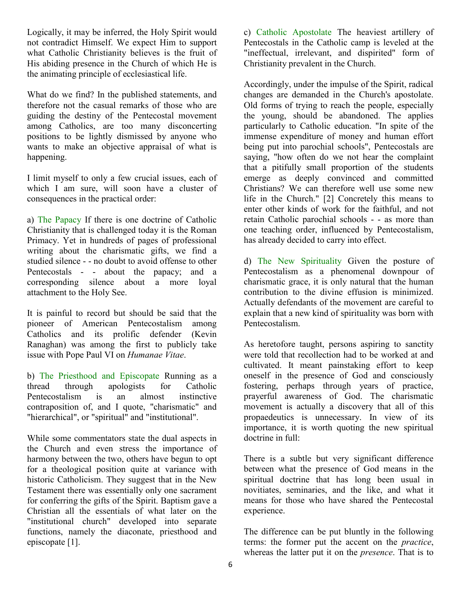Logically, it may be inferred, the Holy Spirit would not contradict Himself. We expect Him to support what Catholic Christianity believes is the fruit of His abiding presence in the Church of which He is the animating principle of ecclesiastical life.

What do we find? In the published statements, and therefore not the casual remarks of those who are guiding the destiny of the Pentecostal movement among Catholics, are too many disconcerting positions to be lightly dismissed by anyone who wants to make an objective appraisal of what is happening.

I limit myself to only a few crucial issues, each of which I am sure, will soon have a cluster of consequences in the practical order:

a) The Papacy If there is one doctrine of Catholic Christianity that is challenged today it is the Roman Primacy. Yet in hundreds of pages of professional writing about the charismatic gifts, we find a studied silence - - no doubt to avoid offense to other Pentecostals - - about the papacy; and a corresponding silence about a more loyal attachment to the Holy See.

It is painful to record but should be said that the pioneer of American Pentecostalism among Catholics and its prolific defender (Kevin Ranaghan) was among the first to publicly take issue with Pope Paul VI on *Humanae Vitae*.

b) The Priesthood and Episcopate Running as a thread through apologists for Catholic Pentecostalism is an almost instinctive contraposition of, and I quote, "charismatic" and "hierarchical", or "spiritual" and "institutional".

While some commentators state the dual aspects in the Church and even stress the importance of harmony between the two, others have begun to opt for a theological position quite at variance with historic Catholicism. They suggest that in the New Testament there was essentially only one sacrament for conferring the gifts of the Spirit. Baptism gave a Christian all the essentials of what later on the "institutional church" developed into separate functions, namely the diaconate, priesthood and episcopate [1].

c) Catholic Apostolate The heaviest artillery of Pentecostals in the Catholic camp is leveled at the "ineffectual, irrelevant, and dispirited" form of Christianity prevalent in the Church.

Accordingly, under the impulse of the Spirit, radical changes are demanded in the Church's apostolate. Old forms of trying to reach the people, especially the young, should be abandoned. The applies particularly to Catholic education. "In spite of the immense expenditure of money and human effort being put into parochial schools", Pentecostals are saying, "how often do we not hear the complaint that a pitifully small proportion of the students emerge as deeply convinced and committed Christians? We can therefore well use some new life in the Church." [2] Concretely this means to enter other kinds of work for the faithful, and not retain Catholic parochial schools - - as more than one teaching order, influenced by Pentecostalism, has already decided to carry into effect.

d) The New Spirituality Given the posture of Pentecostalism as a phenomenal downpour of charismatic grace, it is only natural that the human contribution to the divine effusion is minimized. Actually defendants of the movement are careful to explain that a new kind of spirituality was born with Pentecostalism.

As heretofore taught, persons aspiring to sanctity were told that recollection had to be worked at and cultivated. It meant painstaking effort to keep oneself in the presence of God and consciously fostering, perhaps through years of practice, prayerful awareness of God. The charismatic movement is actually a discovery that all of this propaedeutics is unnecessary. In view of its importance, it is worth quoting the new spiritual doctrine in full:

There is a subtle but very significant difference between what the presence of God means in the spiritual doctrine that has long been usual in novitiates, seminaries, and the like, and what it means for those who have shared the Pentecostal experience.

The difference can be put bluntly in the following terms: the former put the accent on the *practice*, whereas the latter put it on the *presence*. That is to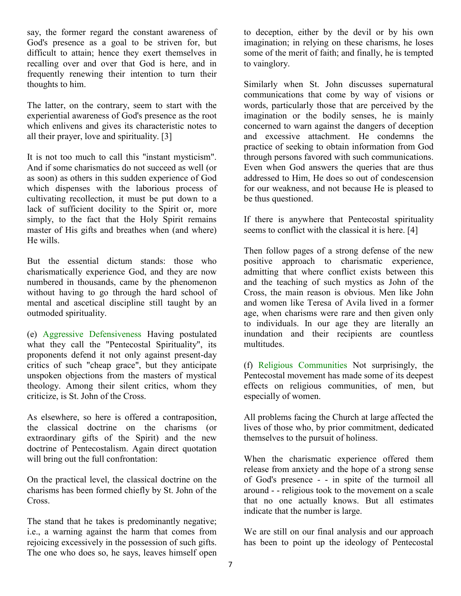say, the former regard the constant awareness of God's presence as a goal to be striven for, but difficult to attain; hence they exert themselves in recalling over and over that God is here, and in frequently renewing their intention to turn their thoughts to him.

The latter, on the contrary, seem to start with the experiential awareness of God's presence as the root which enlivens and gives its characteristic notes to all their prayer, love and spirituality. [3]

It is not too much to call this "instant mysticism". And if some charismatics do not succeed as well (or as soon) as others in this sudden experience of God which dispenses with the laborious process of cultivating recollection, it must be put down to a lack of sufficient docility to the Spirit or, more simply, to the fact that the Holy Spirit remains master of His gifts and breathes when (and where) He wills.

But the essential dictum stands: those who charismatically experience God, and they are now numbered in thousands, came by the phenomenon without having to go through the hard school of mental and ascetical discipline still taught by an outmoded spirituality.

(e) Aggressive Defensiveness Having postulated what they call the "Pentecostal Spirituality", its proponents defend it not only against present-day critics of such "cheap grace", but they anticipate unspoken objections from the masters of mystical theology. Among their silent critics, whom they criticize, is St. John of the Cross.

As elsewhere, so here is offered a contraposition, the classical doctrine on the charisms (or extraordinary gifts of the Spirit) and the new doctrine of Pentecostalism. Again direct quotation will bring out the full confrontation:

On the practical level, the classical doctrine on the charisms has been formed chiefly by St. John of the Cross.

The stand that he takes is predominantly negative; i.e., a warning against the harm that comes from rejoicing excessively in the possession of such gifts. The one who does so, he says, leaves himself open

to deception, either by the devil or by his own imagination; in relying on these charisms, he loses some of the merit of faith; and finally, he is tempted to vainglory.

Similarly when St. John discusses supernatural communications that come by way of visions or words, particularly those that are perceived by the imagination or the bodily senses, he is mainly concerned to warn against the dangers of deception and excessive attachment. He condemns the practice of seeking to obtain information from God through persons favored with such communications. Even when God answers the queries that are thus addressed to Him, He does so out of condescension for our weakness, and not because He is pleased to be thus questioned.

If there is anywhere that Pentecostal spirituality seems to conflict with the classical it is here. [4]

Then follow pages of a strong defense of the new positive approach to charismatic experience, admitting that where conflict exists between this and the teaching of such mystics as John of the Cross, the main reason is obvious. Men like John and women like Teresa of Avila lived in a former age, when charisms were rare and then given only to individuals. In our age they are literally an inundation and their recipients are countless multitudes.

(f) Religious Communities Not surprisingly, the Pentecostal movement has made some of its deepest effects on religious communities, of men, but especially of women.

All problems facing the Church at large affected the lives of those who, by prior commitment, dedicated themselves to the pursuit of holiness.

When the charismatic experience offered them release from anxiety and the hope of a strong sense of God's presence - - in spite of the turmoil all around - - religious took to the movement on a scale that no one actually knows. But all estimates indicate that the number is large.

We are still on our final analysis and our approach has been to point up the ideology of Pentecostal